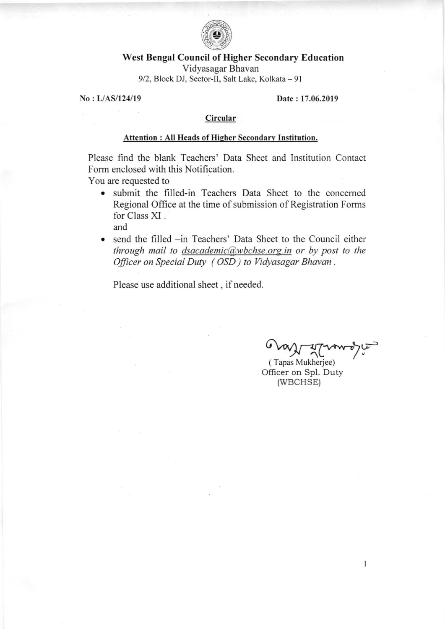

## West Bengal Council of Higher Secondary Education

Vidyasagar Bhavan 9/2, Block DJ, Sector-II, Salt Lake, Kolkata - 91

No : L/AS/124/19 Date : 17.06.2019

#### Circular

### Attention : All Heads of Higher Secondary Institution.

Please find the blank Teachers'Data Sheet and Institution Contact Form enclosed with this Notification.

You are requested to

- o submit the filled-in Teachers Data Sheet to the concemed Regional Office at the time of submission of Registration Forms for Class XI . and
- send the filled -in Teachers' Data Sheet to the Council either through mail to dsacademic $@$ wbchse.org.in or by post to the Oficer on Special Duty ( OSD ) to Vidyasagar Bhavan .

Please use additional sheet, if needed.

حس

 $\mathbf{1}$ 

( Tapas Mukherjee) Officer on Spl. Duty (wBCHSE)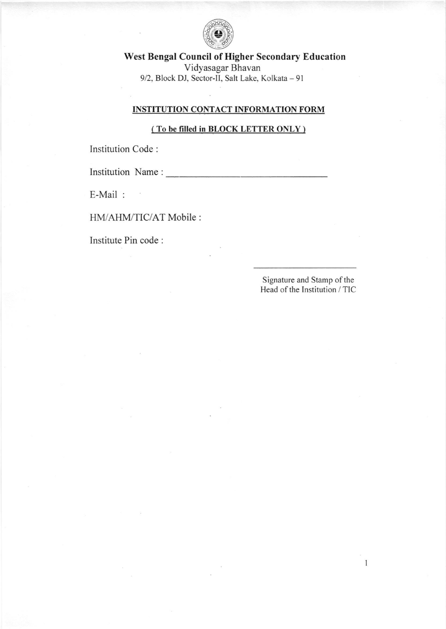

West Bengal Council of Higher Secondary Education Vidyasagar Bhavan 9/2, Block DJ, Sector-II, Salt Lake, Kolkata - 91

# INSTITUTION CONTACT INFORMATION FORM

### ( To be fitled in BLOCK LETTER ONLY )

Institution Code :

Institution Name :

E-Mail :

HM/AHM/TIC/AT Mobile :

 $\sim$ 

Institute Pin code :

Signature and Stamp of the Head of the Institution / TIC

 $\mathbf{1}$